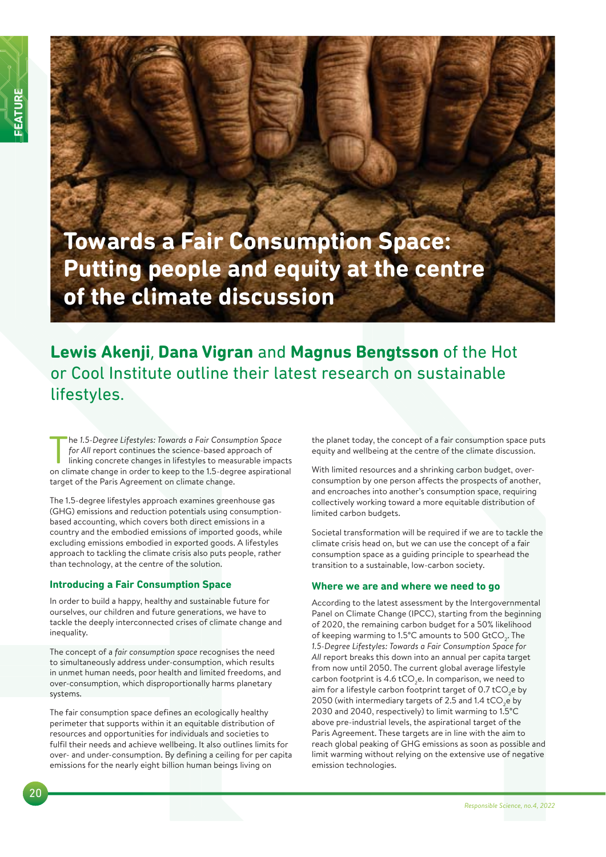**Towards a Fair Consumption Space: Putting people and equity at the centre of the climate discussion**

# **Lewis Akenji**, **Dana Vigran** and **Magnus Bengtsson** of the Hot or Cool Institute outline their latest research on sustainable lifestyles.

The 1.5-Degree Lifestyles: Towards a Fair Consumption Space<br>for All report continues the science-based approach of<br>linking concrete changes in lifestyles to measurable impacts<br>on climate change in order to keep to the 1.5he *1.5-Degree Lifestyles: Towards a Fair Consumption Space*  for All report continues the science-based approach of linking concrete changes in lifestyles to measurable impacts target of the Paris Agreement on climate change.

The 1.5-degree lifestyles approach examines greenhouse gas (GHG) emissions and reduction potentials using consumptionbased accounting, which covers both direct emissions in a country and the embodied emissions of imported goods, while excluding emissions embodied in exported goods. A lifestyles approach to tackling the climate crisis also puts people, rather than technology, at the centre of the solution.

# **Introducing a Fair Consumption Space**

In order to build a happy, healthy and sustainable future for ourselves, our children and future generations, we have to tackle the deeply interconnected crises of climate change and inequality.

The concept of a *fair consumption space* recognises the need to simultaneously address under-consumption, which results in unmet human needs, poor health and limited freedoms, and over-consumption, which disproportionally harms planetary systems.

The fair consumption space defines an ecologically healthy perimeter that supports within it an equitable distribution of resources and opportunities for individuals and societies to fulfil their needs and achieve wellbeing. It also outlines limits for over- and under-consumption. By defining a ceiling for per capita emissions for the nearly eight billion human beings living on

the planet today, the concept of a fair consumption space puts equity and wellbeing at the centre of the climate discussion.

With limited resources and a shrinking carbon budget, overconsumption by one person affects the prospects of another, and encroaches into another's consumption space, requiring collectively working toward a more equitable distribution of limited carbon budgets.

Societal transformation will be required if we are to tackle the climate crisis head on, but we can use the concept of a fair consumption space as a guiding principle to spearhead the transition to a sustainable, low-carbon society.

## **Where we are and where we need to go**

According to the latest assessment by the Intergovernmental Panel on Climate Change (IPCC), starting from the beginning of 2020, the remaining carbon budget for a 50% likelihood of keeping warming to 1.5°C amounts to 500  $\mathrm{GtCO}_{2}$ . The *1.5-Degree Lifestyles: Towards a Fair Consumption Space for All* report breaks this down into an annual per capita target from now until 2050. The current global average lifestyle carbon footprint is  $4.6$  tCO<sub>2</sub>e. In comparison, we need to aim for a lifestyle carbon footprint target of 0.7 tCO<sub>2</sub>e by 2050 (with intermediary targets of 2.5 and 1.4 tCO<sub>2</sub>e by 2030 and 2040, respectively) to limit warming to 1.5°C above pre-industrial levels, the aspirational target of the Paris Agreement. These targets are in line with the aim to reach global peaking of GHG emissions as soon as possible and limit warming without relying on the extensive use of negative emission technologies.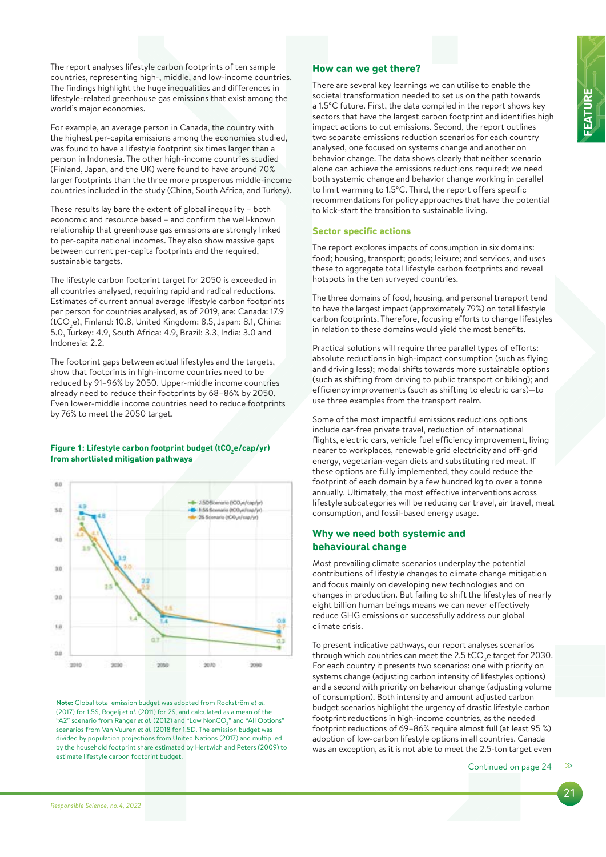**FEATURE**

The report analyses lifestyle carbon footprints of ten sample countries, representing high-, middle, and low-income countries. The findings highlight the huge inequalities and differences in lifestyle-related greenhouse gas emissions that exist among the world's major economies.

For example, an average person in Canada, the country with the highest per-capita emissions among the economies studied, was found to have a lifestyle footprint six times larger than a person in Indonesia. The other high-income countries studied (Finland, Japan, and the UK) were found to have around 70% larger footprints than the three more prosperous middle-income countries included in the study (China, South Africa, and Turkey).

These results lay bare the extent of global inequality – both economic and resource based – and confirm the well-known relationship that greenhouse gas emissions are strongly linked to per-capita national incomes. They also show massive gaps between current per-capita footprints and the required, sustainable targets.

The lifestyle carbon footprint target for 2050 is exceeded in all countries analysed, requiring rapid and radical reductions. Estimates of current annual average lifestyle carbon footprints per person for countries analysed, as of 2019, are: Canada: 17.9 (tCO $_2$ e), Finland: 10.8, United Kingdom: 8.5, Japan: 8.1, China: 5.0, Turkey: 4.9, South Africa: 4.9, Brazil: 3.3, India: 3.0 and Indonesia: 2.2.

The footprint gaps between actual lifestyles and the targets, show that footprints in high-income countries need to be reduced by 91–96% by 2050. Upper-middle income countries already need to reduce their footprints by 68–86% by 2050. Even lower-middle income countries need to reduce footprints by 76% to meet the 2050 target.

#### **Figure 1: Lifestyle carbon footprint budget (tCO2 e/cap/yr) from shortlisted mitigation pathways**



**Note:** Global total emission budget was adopted from Rockström *et al.*  (2017) for 1.5S, Rogelj *et al.* (2011) for 2S, and calculated as a mean of the "A2" scenario from Ranger *et al.* (2012) and "Low NonCO $_2$ " and "All Options" scenarios from Van Vuuren *et al.* (2018 for 1.5D. The emission budget was divided by population projections from United Nations (2017) and multiplied by the household footprint share estimated by Hertwich and Peters (2009) to estimate lifestyle carbon footprint budget.

## **How can we get there?**

There are several key learnings we can utilise to enable the societal transformation needed to set us on the path towards a 1.5°C future. First, the data compiled in the report shows key sectors that have the largest carbon footprint and identifies high impact actions to cut emissions. Second, the report outlines two separate emissions reduction scenarios for each country analysed, one focused on systems change and another on behavior change. The data shows clearly that neither scenario alone can achieve the emissions reductions required; we need both systemic change and behavior change working in parallel to limit warming to 1.5°C. Third, the report offers specific recommendations for policy approaches that have the potential to kick-start the transition to sustainable living.

## **Sector specific actions**

The report explores impacts of consumption in six domains: food; housing, transport; goods; leisure; and services, and uses these to aggregate total lifestyle carbon footprints and reveal hotspots in the ten surveyed countries.

The three domains of food, housing, and personal transport tend to have the largest impact (approximately 79%) on total lifestyle carbon footprints. Therefore, focusing efforts to change lifestyles in relation to these domains would yield the most benefits.

Practical solutions will require three parallel types of efforts: absolute reductions in high-impact consumption (such as flying and driving less); modal shifts towards more sustainable options (such as shifting from driving to public transport or biking); and efficiency improvements (such as shifting to electric cars)—to use three examples from the transport realm.

Some of the most impactful emissions reductions options include car-free private travel, reduction of international flights, electric cars, vehicle fuel efficiency improvement, living nearer to workplaces, renewable grid electricity and off-grid energy, vegetarian-vegan diets and substituting red meat. If these options are fully implemented, they could reduce the footprint of each domain by a few hundred kg to over a tonne annually. Ultimately, the most effective interventions across lifestyle subcategories will be reducing car travel, air travel, meat consumption, and fossil-based energy usage.

# **Why we need both systemic and behavioural change**

Most prevailing climate scenarios underplay the potential contributions of lifestyle changes to climate change mitigation and focus mainly on developing new technologies and on changes in production. But failing to shift the lifestyles of nearly eight billion human beings means we can never effectively reduce GHG emissions or successfully address our global climate crisis.

To present indicative pathways, our report analyses scenarios through which countries can meet the 2.5 tCO<sub>2</sub>e target for 2030. For each country it presents two scenarios: one with priority on systems change (adjusting carbon intensity of lifestyles options) and a second with priority on behaviour change (adjusting volume of consumption). Both intensity and amount adjusted carbon budget scenarios highlight the urgency of drastic lifestyle carbon footprint reductions in high-income countries, as the needed footprint reductions of 69–86% require almost full (at least 95 %) adoption of low-carbon lifestyle options in all countries. Canada was an exception, as it is not able to meet the 2.5-ton target even